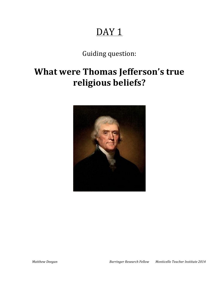# DAY<sub>1</sub>

Guiding question:

# **What were Thomas Jefferson's true** religious beliefs?

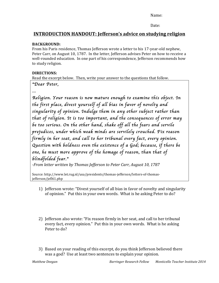Date:

## **INTRODUCTION HANDOUT: Jefferson's advice on studying religion**

### **BACKGROUND:%**

From his Paris residence, Thomas Jefferson wrote a letter to his 17-year-old nephew, Peter Carr, on August 10, 1787. In the letter, Jefferson advises Peter on how to receive a well-rounded education. In one part of his correspondence, Jefferson recommends how to study religion.

### **DIRECTIONS:**

Read the excerpt below. Then, write your answer to the questions that follow.

### "*Dear Peter,*

*…* 

*Religion. Your reason is now mature enough to examine this object. In the first place, divest yourself of all bias in favor of novelty and singularity of opinion. Indulge them in any other subject rather than that of religion. It is too important, and the consequences of error may be too serious. On the other hand, shake off all the fears and servile prejudices, under which weak minds are servilely crouched. Fix reason firmly in her seat, and call to her tribunal every fact, every opinion. Question with boldness even the existence of a God; because, if there be one, he must more approve of the homage of reason, than that of blindfolded fear.*"

*;From'letter'written'by'Thomas'Jefferson'to'Peter'Carr,'August'10,'1787*

Source: http://www.let.rug.nl/usa/presidents/thomas-jefferson/letters-of-thomasjefferson/jefl61.php

- 1) Jefferson wrote: "Divest yourself of all bias in favor of novelty and singularity of opinion." Put this in your own words. What is he asking Peter to do?
- 2) Jefferson also wrote: "Fix reason firmly in her seat, and call to her tribunal every fact, every opinion." Put this in your own words. What is he asking Peter to do?
- 3) Based on your reading of this excerpt, do you think Jefferson believed there was a god? Use at least two sentences to explain your opinion.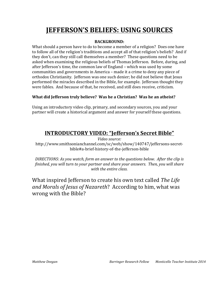# **JEFFERSON'S BELIEFS: USING SOURCES**

### **BACKGROUND:**

What should a person have to do to become a member of a religion? Does one have to follow all of the religion's traditions and accept all of that religion's beliefs? And if they don't, can they still call themselves a member? These questions need to be asked when examining the religious beliefs of Thomas Jefferson. Before, during, and after Jefferson's time, the common law of England – which was used by some communities and governments in America – made it a crime to deny any piece of orthodox Christianity. Jefferson was one such denier; he did not believe that Jesus performed the miracles described in the Bible, for example. Jefferson thought they were fables. And because of that, he received, and still does receive, criticism.

### **What did Jefferson truly believe? Was he a Christian? Was he an atheist?**

Using an introductory video clip, primary, and secondary sources, you and your partner will create a historical argument and answer for yourself these questions.

## **INTRODUCTORY VIDEO: "Jefferson's Secret Bible"**

*Video'source:* http://www.smithsonianchannel.com/sc/web/show/140747/jeffersons-secretbible#a-brief-history-of-the-jefferson-bible

*DIRECTIONS:'As'you'watch,'form'an'answer'to'the'questions below.''After'the'clip'is' finished,'you'will'turn'to'your'partner'and'share'your'answers.''Then,'you'will'share'* with the entire class.

What inspired Jefferson to create his own text called *The Life* and Morals of Jesus of Nazareth? According to him, what was wrong with the Bible?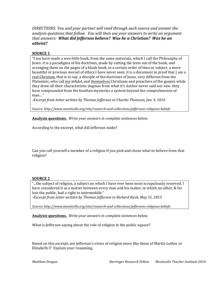DIRECTIONS: You and your partner will read through each source and answer the analysis questions that follow. You will then use your answers to write an argument that answers: What did Jefferson believe? Was he a Christian? Was he an atheist?

#### **SOURCE 1**

"I too have made a wee little book, from the same materials, which I call the Philosophy of Jesus. it is a paradigma of his doctrines, made by cutting the texts out of the book, and arranging them on the pages of a blank book, in a certain order of time or subject, a more beautiful or precious morsel of ethics I have never seen. it is a document in proof that I am a real Christian, that is to say, a disciple of the doctrines of Jesus, very different from the Platonists, who call me infidel, and themselves Christians and preachers of the gospel, while they draw all their characteristic dogmas from what it's Author never said nor saw, they have compounded from the heathen mysteries a system beyond the comprehension of  $man...$ "

-Excerpt from letter written by Thomas Jefferson to Charles Thomson, Jan. 9, 1816

Source: http://www.monticello.org/site/research-and-collections/jeffersons-religious-beliefs

Analysis questions. Write your answers in complete sentences below.

According to the excerpt, what did Jefferson make?

Can you call yourself a member of a religion if you pick and chose what to believe from that religion?

#### **SOURCE 2**

"...the subject of religion, a subject on which I have ever been most scrupulously reserved. I have considered it as a matter between every man and his maker, in which no other, & far less the public, had a right to intermeddle."

-Excerpt from letter written by Thomas Jefferson to Richard Rush, May 31, 1813

Source: http://www.monticello.org/site/research-and-collections/jeffersons-religious-beliefs

Analysis questions. Write your answers in complete sentences below.

What is Jefferson saying about the role of religion in the public square?

Based on this excerpt, are Jefferson's views of religion more like those of Martin Luther or Elizabeth I? Explain your reasoning.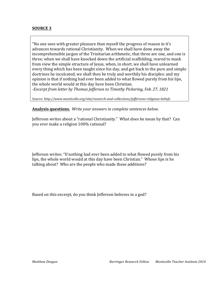### **SOURCE 3**

"No one sees with greater pleasure than myself the progress of reason in it's advances towards rational Christianity. When we shall have done away the incomprehensible jargon of the Trinitarian arithmetic, that three are one, and one is three; when we shall have knocked down the artificial scaffolding, reared to mask from view the simple structure of Jesus, when, in short, we shall have unlearned every thing which has been taught since his day, and got back to the pure and simple doctrines he inculcated, we shall then be truly and worthily his disciples: and my opinion is that if nothing had ever been added to what flowed purely from his lips, the whole world would at this day have been Christian.

-Excerpt from letter by Thomas Jefferson to Timothy Pickering, Feb. 27, 1821

Source: http://www.monticello.org/site/research-and-collections/jeffersons-religious-beliefs

Analysis questions. Write your answers in complete sentences below.

Jefferson writes about a "rational Christianity." What does he mean by that? Can you ever make a religion 100% rational?

Jefferson writes: "If nothing had ever been added to what flowed purely from his lips, the whole world would at this day have been Christian." Whose lips is he talking about? Who are the people who made these additions?

Based on this excerpt, do you think Jefferson believes in a god?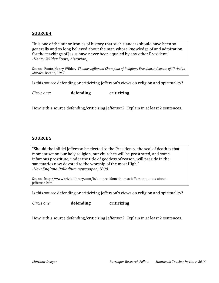### **SOURCE 4**

"It is one of the minor ironies of history that such slanders should have been so generally and so long believed about the man whose knowledge of and admiration for the teachings of Jesus have never been equaled by any other President." *;Henry'Wilder'Foote,'historian,'*

Source: Foote, Henry Wilder. Thomas Jefferson: Champion of Religious Freedom, Advocate of Christian' *Morals.* Boston, 1947.

Is this source defending or criticizing Jefferson's views on religion and spirituality?

*Circle'one:''* **defending criticizing**

How is this source defending/criticizing Jefferson? Explain in at least 2 sentences.

#### **SOURCE 5**

"Should the infidel Jefferson be elected to the Presidency, the seal of death is that moment set on our holy religion, our churches will be prostrated, and some infamous prostitute, under the title of goddess of reason, will preside in the sanctuaries now devoted to the worship of the most High." *;New'England'Palladium newspaper,'1800*

Source: http://www.trivia-library.com/b/u-s-president-thomas-jefferson-quotes-aboutjefferson.htm

Is this source defending or criticizing Jefferson's views on religion and spirituality?

*Circle'one:''* **defending criticizing**

How is this source defending/criticizing Jefferson? Explain in at least 2 sentences.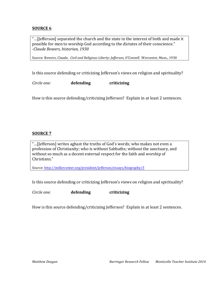### **SOURCE 6**

"...[Jefferson] separated the church and the state in the interest of both and made it possible for men to worship God according to the dictates of their conscience." *;Claude'Bowers,'historian,'1930*

Source: Bowers, Claude. Civil and Religious Liberty: Jefferson, O'Connell. Worcester, Mass., 1930

Is this source defending or criticizing Jefferson's views on religion and spirituality?

*Circle'one:''* **defending criticizing**

How is this source defending/criticizing Jefferson? Explain in at least 2 sentences.

### **SOURCE 7**

"...[Jefferson] writes aghast the truths of God's words; who makes not even a profession of Christianity; who is without Sabbaths; without the sanctuary, and without so much as a decent external respect for the faith and worship of Christians."

Source: http://millercenter.org/president/jefferson/essays/biography/3

Is this source defending or criticizing Jefferson's views on religion and spirituality?

*Circle'one:''* **defending criticizing**

How is this source defending/criticizing Jefferson? Explain in at least 2 sentences.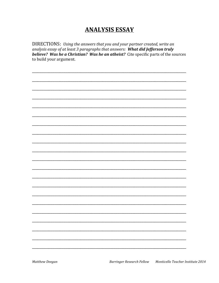## **ANALYSIS ESSAY**

DIRECTIONS: Using the answers that you and your partner created, write an analysis essay of at least 3 paragraphs that answers: What did Jefferson truly believe? Was he a Christian? Was he an atheist? Cite specific parts of the sources to build your argument.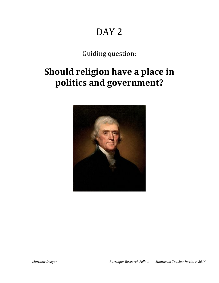# DAY<sub>2</sub>

Guiding question:

# **Should religion have a place in** politics and government?

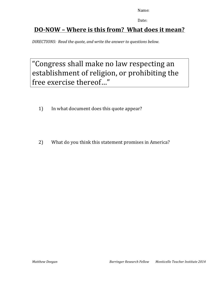Date:

# **DO-NOW – Where is this from? What does it mean?**

*DIRECTIONS:''Read'the'quote,'and'write'the'answer'to'questions'below.*

# "Congress shall make no law respecting an establishment of religion, or prohibiting the free exercise thereof..."

- 1) In what document does this quote appear?
- 2) What do you think this statement promises in America?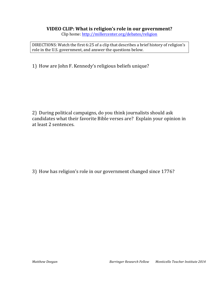### VIDEO CLIP: What is religion's role in our government?

Clip home: http://millercenter.org/debates/religion

DIRECTIONS: Watch the first 6:25 of a clip that describes a brief history of religion's role in the U.S. government, and answer the questions below.

1) How are John F. Kennedy's religious beliefs unique?

2) During political campaigns, do you think journalists should ask candidates what their favorite Bible verses are? Explain your opinion in at least 2 sentences.

3) How has religion's role in our government changed since 1776?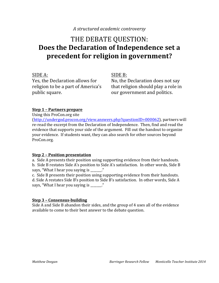### A structured academic controversy

# THE DEBATE QUESTION: Does the Declaration of Independence set a precedent for religion in government?

SIDE A: Yes, the Declaration allows for religion to be a part of America's public square.

 $SIDE B:$ 

No, the Declaration does not say that religion should play a role in our government and politics.

### Step 1 - Partners prepare

Using this ProCon.org site

(http://undergod.procon.org/view.answers.php?questionID=000062), partners will re-read the excerpt from the Declaration of Independence. Then, find and read the evidence that supports your side of the argument. Fill out the handout to organize your evidence. If students want, they can also search for other sources beyond ProCon.org.

### **Step 2 - Position presentation**

a. Side A presents their position using supporting evidence from their handouts. b. Side B restates Side A's position to Side A's satisfaction. In other words, Side B says, "What I hear you saying is "

c. Side B presents their position using supporting evidence from their handouts. d. Side A restates Side B's position to Side B's satisfaction. In other words, Side A says, "What I hear you saying is \_\_\_\_\_\_."

### **Step 3 - Consensus-building**

Side A and Side B abandon their sides, and the group of 4 uses all of the evidence available to come to their best answer to the debate question.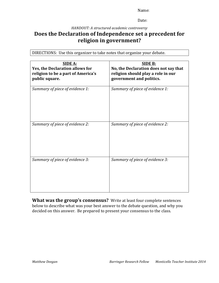Date:

*HANDOUT:'A'structured'academic'controversy*

## **Does the Declaration of Independence set a precedent for** religion in government?

DIRECTIONS: Use this organizer to take notes that organize your debate.

| <b>SIDE A:</b><br>Yes, the Declaration allows for<br>religion to be a part of America's<br>public square. | <b>SIDE B:</b><br>No, the Declaration does not say that<br>religion should play a role in our<br>government and politics. |
|-----------------------------------------------------------------------------------------------------------|---------------------------------------------------------------------------------------------------------------------------|
| Summary of piece of evidence 1:                                                                           | Summary of piece of evidence 1:                                                                                           |
| Summary of piece of evidence 2:                                                                           | Summary of piece of evidence 2:                                                                                           |
| Summary of piece of evidence 3:                                                                           | Summary of piece of evidence 3:                                                                                           |

**What was the group's consensus?** Write at least four complete sentences below to describe what was your best answer to the debate question, and why you decided on this answer. Be prepared to present your consensus to the class.